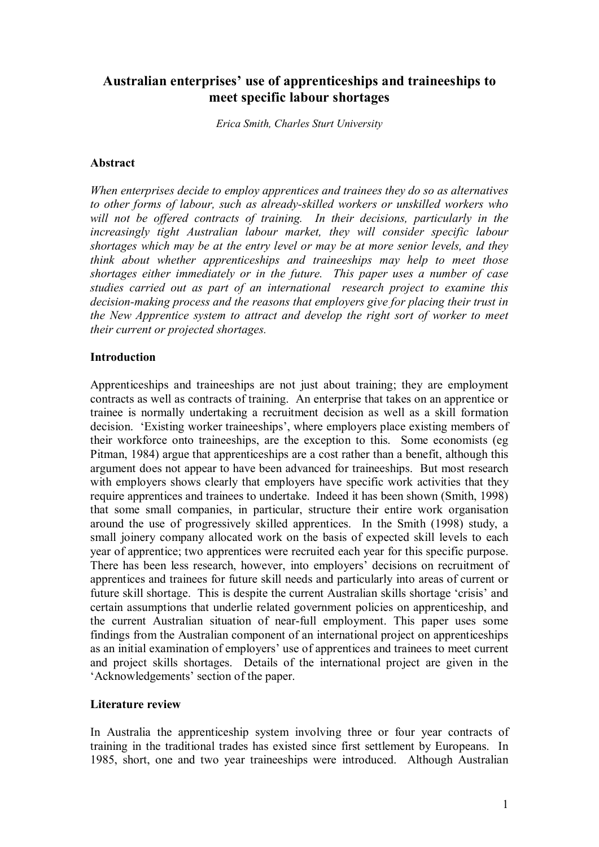# **Australian enterprises' use of apprenticeships and traineeships to meet specific labour shortages**

*Erica Smith, Charles Sturt University*

#### **Abstract**

*When enterprises decide to employ apprentices and trainees they do so as alternatives to other forms of labour, such as alreadyskilled workers or unskilled workers who will not be offered contracts of training. In their decisions, particularly in the increasingly tight Australian labour market, they will consider specific labour shortages which may be at the entry level or may be at more senior levels, and they think about whether apprenticeships and traineeships may help to meet those shortages either immediately or in the future. This paper uses a number of case studies carried out as part of an international research project to examine this decision-making process and the reasons that employers give for placing their trust in the New Apprentice system to attract and develop the right sort of worker to meet their current or projected shortages.*

#### **Introduction**

Apprenticeships and traineeships are not just about training; they are employment contracts as well as contracts of training. An enterprise that takes on an apprentice or trainee is normally undertaking a recruitment decision as well as a skill formation decision. 'Existing worker traineeships', where employers place existing members of their workforce onto traineeships, are the exception to this. Some economists (eg Pitman, 1984) argue that apprenticeships are a cost rather than a benefit, although this argument does not appear to have been advanced for traineeships. But most research with employers shows clearly that employers have specific work activities that they require apprentices and trainees to undertake. Indeed it has been shown (Smith, 1998) that some small companies, in particular, structure their entire work organisation around the use of progressively skilled apprentices. In the Smith (1998) study, a small joinery company allocated work on the basis of expected skill levels to each year of apprentice; two apprentices were recruited each year for this specific purpose. There has been less research, however, into employers' decisions on recruitment of apprentices and trainees for future skill needs and particularly into areas of current or future skill shortage. This is despite the current Australian skills shortage 'crisis' and certain assumptions that underlie related government policies on apprenticeship, and the current Australian situation of near-full employment. This paper uses some findings from the Australian component of an international project on apprenticeships as an initial examination of employers' use of apprentices and trainees to meet current and project skills shortages. Details of the international project are given in the 'Acknowledgements' section of the paper.

# **Literature review**

In Australia the apprenticeship system involving three or four year contracts of training in the traditional trades has existed since first settlement by Europeans. In 1985, short, one and two year traineeships were introduced. Although Australian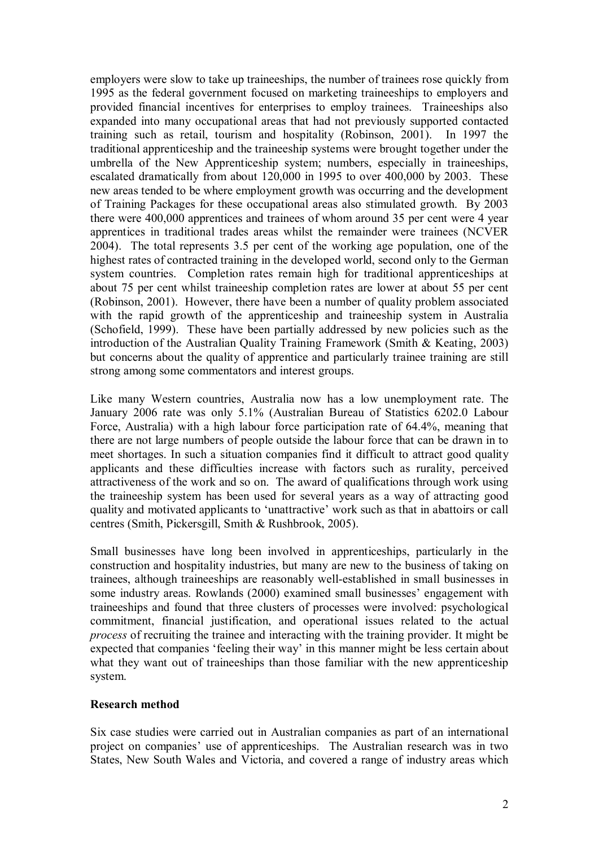employers were slow to take up traineeships, the number of trainees rose quickly from 1995 as the federal government focused on marketing traineeships to employers and provided financial incentives for enterprises to employ trainees. Traineeships also expanded into many occupational areas that had not previously supported contacted training such as retail, tourism and hospitality (Robinson, 2001). In 1997 the traditional apprenticeship and the traineeship systems were brought together under the umbrella of the New Apprenticeship system; numbers, especially in traineeships, escalated dramatically from about 120,000 in 1995 to over 400,000 by 2003. These new areas tended to be where employment growth was occurring and the development of Training Packages for these occupational areas also stimulated growth. By 2003 there were 400,000 apprentices and trainees of whom around 35 per cent were 4 year apprentices in traditional trades areas whilst the remainder were trainees (NCVER 2004). The total represents 3.5 per cent of the working age population, one of the highest rates of contracted training in the developed world, second only to the German system countries. Completion rates remain high for traditional apprenticeships at about 75 per cent whilst traineeship completion rates are lower at about 55 per cent (Robinson, 2001). However, there have been a number of quality problem associated with the rapid growth of the apprenticeship and traineeship system in Australia (Schofield, 1999). These have been partially addressed by new policies such as the introduction of the Australian Quality Training Framework (Smith & Keating, 2003) but concerns about the quality of apprentice and particularly trainee training are still strong among some commentators and interest groups.

Like many Western countries, Australia now has a low unemployment rate. The January 2006 rate was only 5.1% (Australian Bureau of Statistics 6202.0 Labour Force, Australia) with a high labour force participation rate of 64.4%, meaning that there are not large numbers of people outside the labour force that can be drawn in to meet shortages. In such a situation companies find it difficult to attract good quality applicants and these difficulties increase with factors such as rurality, perceived attractiveness of the work and so on. The award of qualifications through work using the traineeship system has been used for several years as a way of attracting good quality and motivated applicants to 'unattractive' work such as that in abattoirs or call centres (Smith, Pickersgill, Smith & Rushbrook, 2005).

Small businesses have long been involved in apprenticeships, particularly in the construction and hospitality industries, but many are new to the business of taking on trainees, although traineeships are reasonably wellestablished in small businesses in some industry areas. Rowlands (2000) examined small businesses' engagement with traineeships and found that three clusters of processes were involved: psychological commitment, financial justification, and operational issues related to the actual *process* of recruiting the trainee and interacting with the training provider. It might be expected that companies 'feeling their way' in this manner might be less certain about what they want out of traineeships than those familiar with the new apprenticeship system.

# **Research method**

Six case studies were carried out in Australian companies as part of an international project on companies' use of apprenticeships. The Australian research was in two States, New South Wales and Victoria, and covered a range of industry areas which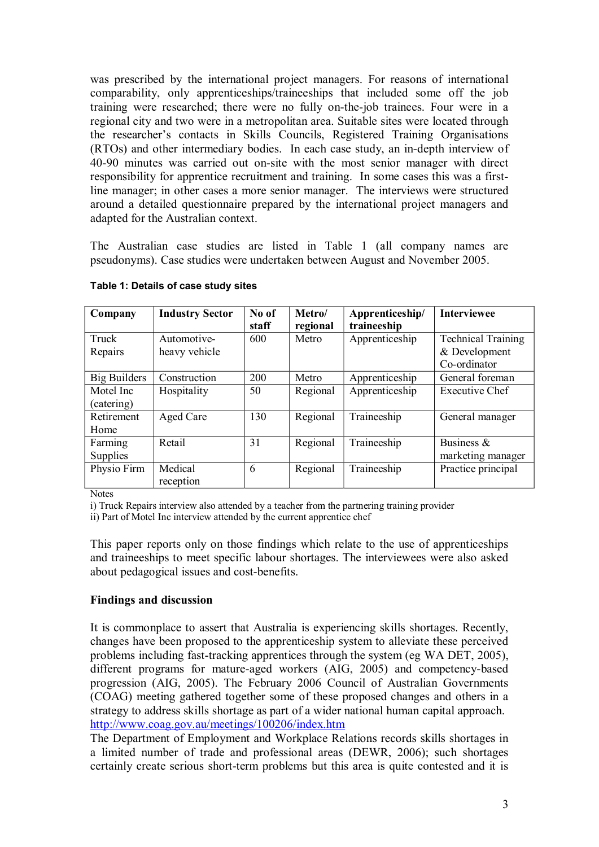was prescribed by the international project managers. For reasons of international comparability, only apprenticeships/traineeships that included some off the job training were researched; there were no fully on-the-job trainees. Four were in a regional city and two were in a metropolitan area. Suitable sites were located through the researcher's contacts in Skills Councils, Registered Training Organisations (RTOs) and other intermediary bodies. In each case study, an in-depth interview of 40-90 minutes was carried out on-site with the most senior manager with direct responsibility for apprentice recruitment and training. In some cases this was a firstline manager; in other cases a more senior manager. The interviews were structured around a detailed questionnaire prepared by the international project managers and adapted for the Australian context.

The Australian case studies are listed in Table 1 (all company names are pseudonyms). Case studies were undertaken between August and November 2005.

| Company             | <b>Industry Sector</b> | No of<br>staff | Metro/<br>regional | Apprenticeship/<br>traineeship | <b>Interviewee</b>        |
|---------------------|------------------------|----------------|--------------------|--------------------------------|---------------------------|
| Truck               | Automotive-            | 600            | Metro              | Apprenticeship                 | <b>Technical Training</b> |
| Repairs             | heavy vehicle          |                |                    |                                | & Development             |
|                     |                        |                |                    |                                | Co-ordinator              |
| <b>Big Builders</b> | Construction           | <b>200</b>     | Metro              | Apprenticeship                 | General foreman           |
| Motel Inc           | Hospitality            | 50             | Regional           | Apprenticeship                 | <b>Executive Chef</b>     |
| (catering)          |                        |                |                    |                                |                           |
| Retirement          | Aged Care              | 130            | Regional           | Traineeship                    | General manager           |
| Home                |                        |                |                    |                                |                           |
| Farming             | Retail                 | 31             | Regional           | Traineeship                    | Business &                |
| Supplies            |                        |                |                    |                                | marketing manager         |
| Physio Firm         | Medical                | 6              | Regional           | Traineeship                    | Practice principal        |
|                     | reception              |                |                    |                                |                           |

**Table 1: Details of case study sites**

**Notes** 

i) Truck Repairs interview also attended by a teacher from the partnering training provider

ii) Part of Motel Inc interview attended by the current apprentice chef

This paper reports only on those findings which relate to the use of apprenticeships and traineeships to meet specific labour shortages. The interviewees were also asked about pedagogical issues and cost-benefits.

# **Findings and discussion**

It is commonplace to assert that Australia is experiencing skills shortages. Recently, changes have been proposed to the apprenticeship system to alleviate these perceived problems including fast-tracking apprentices through the system (eg WA DET, 2005). different programs for mature-aged workers (AIG, 2005) and competency-based progression (AIG, 2005). The February 2006 Council of Australian Governments (COAG) meeting gathered together some of these proposed changes and others in a strategy to address skills shortage as part of a wider national human capital approach. <http://www.coag.gov.au/meetings/100206/index.htm>

The Department of Employment and Workplace Relations records skills shortages in a limited number of trade and professional areas (DEWR, 2006); such shortages certainly create serious short-term problems but this area is quite contested and it is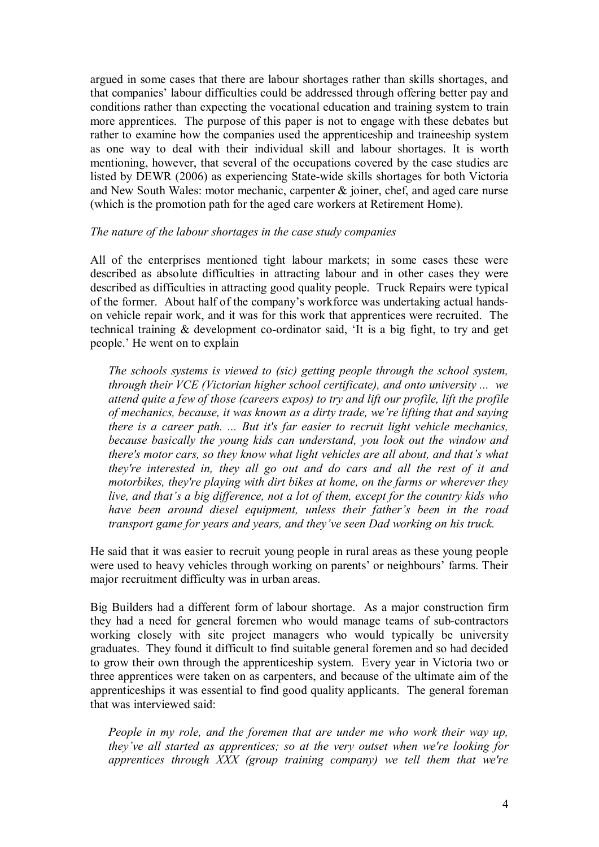argued in some cases that there are labour shortages rather than skills shortages, and that companies' labour difficulties could be addressed through offering better pay and conditions rather than expecting the vocational education and training system to train more apprentices. The purpose of this paper is not to engage with these debates but rather to examine how the companies used the apprenticeship and traineeship system as one way to deal with their individual skill and labour shortages. It is worth mentioning, however, that several of the occupations covered by the case studies are listed by DEWR (2006) as experiencing Statewide skills shortages for both Victoria and New South Wales: motor mechanic, carpenter & joiner, chef, and aged care nurse (which is the promotion path for the aged care workers at Retirement Home).

# *The nature of the labour shortages in the case study companies*

All of the enterprises mentioned tight labour markets; in some cases these were described as absolute difficulties in attracting labour and in other cases they were described as difficulties in attracting good quality people. Truck Repairs were typical of the former. About half of the company's workforce was undertaking actual hands on vehicle repair work, and it was for this work that apprentices were recruited. The technical training  $\&$  development co-ordinator said, 'It is a big fight, to try and get people.' He went on to explain

*The schools systems is viewed to (sic) getting people through the school system, through their VCE (Victorian higher school certificate), and onto university ... we attend quite a few of those (careers expos) to try and lift our profile, lift the profile of mechanics, because, it was known as a dirty trade, we're lifting that and saying there is a career path. ... But it's far easier to recruit light vehicle mechanics, because basically the young kids can understand, you look out the window and there's motor cars, so they know what light vehicles are all about, and that's what they're interested in, they all go out and do cars and all the rest of it and motorbikes, they're playing with dirt bikes at home, on the farms or wherever they live, and that's a big difference, not a lot of them, except for the country kids who have been around diesel equipment, unless their father's been in the road transport game for years and years, and they've seen Dad working on his truck.*

He said that it was easier to recruit young people in rural areas as these young people were used to heavy vehicles through working on parents' or neighbours' farms. Their major recruitment difficulty was in urban areas.

Big Builders had a different form of labour shortage. As a major construction firm they had a need for general foremen who would manage teams of sub-contractors working closely with site project managers who would typically be university graduates. They found it difficult to find suitable general foremen and so had decided to grow their own through the apprenticeship system. Every year in Victoria two or three apprentices were taken on as carpenters, and because of the ultimate aim of the apprenticeships it was essential to find good quality applicants. The general foreman that was interviewed said:

*People in my role, and the foremen that are under me who work their way up, they've all started as apprentices; so at the very outset when we're looking for apprentices through XXX (group training company) we tell them that we're*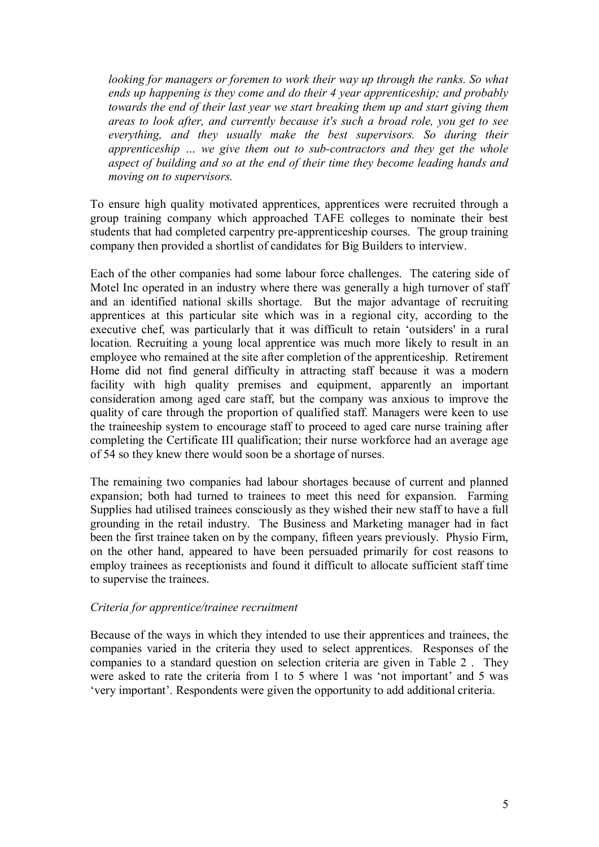*looking for managers or foremen to work their way up through the ranks. So what ends up happening is they come and do their 4 year apprenticeship; and probably towards the end of their last year we start breaking them up and start giving them areas to look after, and currently because it's such a broad role, you get to see everything, and they usually make the best supervisors. So during their apprenticeship … we give them out to subcontractors and they get the whole aspect of building and so at the end of their time they become leading hands and moving on to supervisors.*

To ensure high quality motivated apprentices, apprentices were recruited through a group training company which approached TAFE colleges to nominate their best students that had completed carpentry pre-apprenticeship courses. The group training company then provided a shortlist of candidates for Big Builders to interview.

Each of the other companies had some labour force challenges. The catering side of Motel Inc operated in an industry where there was generally a high turnover of staff and an identified national skills shortage. But the major advantage of recruiting apprentices at this particular site which was in a regional city, according to the executive chef, was particularly that it was difficult to retain 'outsiders' in a rural location. Recruiting a young local apprentice was much more likely to result in an employee who remained at the site after completion of the apprenticeship. Retirement Home did not find general difficulty in attracting staff because it was a modern facility with high quality premises and equipment, apparently an important consideration among aged care staff, but the company was anxious to improve the quality of care through the proportion of qualified staff. Managers were keen to use the traineeship system to encourage staff to proceed to aged care nurse training after completing the Certificate III qualification; their nurse workforce had an average age of 54 so they knew there would soon be a shortage of nurses.

The remaining two companies had labour shortages because of current and planned expansion; both had turned to trainees to meet this need for expansion. Farming Supplies had utilised trainees consciously as they wished their new staff to have a full grounding in the retail industry. The Business and Marketing manager had in fact been the first trainee taken on by the company, fifteen years previously. Physio Firm, on the other hand, appeared to have been persuaded primarily for cost reasons to employ trainees as receptionists and found it difficult to allocate sufficient staff time to supervise the trainees.

# *Criteria for apprentice/trainee recruitment*

Because of the ways in which they intended to use their apprentices and trainees, the companies varied in the criteria they used to select apprentices. Responses of the companies to a standard question on selection criteria are given in Table 2. They were asked to rate the criteria from 1 to 5 where 1 was 'not important' and 5 was 'very important'. Respondents were given the opportunity to add additional criteria.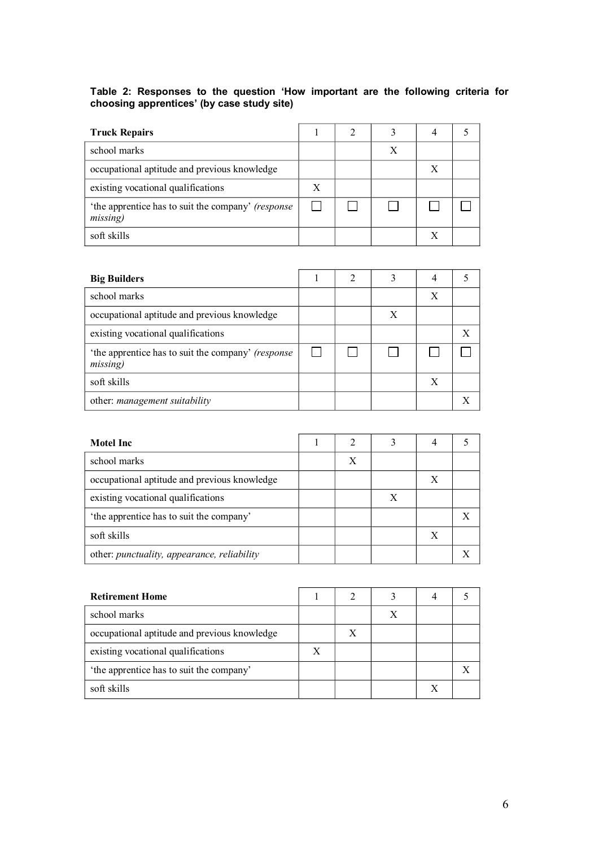#### **Table 2: Responses to the question 'How important are the following criteria for choosing apprentices' (by case study site)**

| <b>Truck Repairs</b>                                           |   |   |   |  |
|----------------------------------------------------------------|---|---|---|--|
| school marks                                                   |   | X |   |  |
| occupational aptitude and previous knowledge                   |   |   | X |  |
| existing vocational qualifications                             | X |   |   |  |
| 'the apprentice has to suit the company' (response<br>missing) |   |   |   |  |
| soft skills                                                    |   |   | Х |  |

| <b>Big Builders</b>                                                    |  | ∍ |   |   |   |
|------------------------------------------------------------------------|--|---|---|---|---|
| school marks                                                           |  |   |   | X |   |
| occupational aptitude and previous knowledge                           |  |   | X |   |   |
| existing vocational qualifications                                     |  |   |   |   | X |
| the apprentice has to suit the company' <i>(response</i> )<br>missing) |  |   |   |   |   |
| soft skills                                                            |  |   |   | X |   |
| other: management suitability                                          |  |   |   |   | Х |

| <b>Motel Inc</b>                             | 7 |   |   |   |
|----------------------------------------------|---|---|---|---|
| school marks                                 | X |   |   |   |
| occupational aptitude and previous knowledge |   |   | X |   |
| existing vocational qualifications           |   | X |   |   |
| 'the apprentice has to suit the company'     |   |   |   | X |
| soft skills                                  |   |   | X |   |
| other: punctuality, appearance, reliability  |   |   |   | Х |

| <b>Retirement Home</b>                       |  |  |   |
|----------------------------------------------|--|--|---|
| school marks                                 |  |  |   |
| occupational aptitude and previous knowledge |  |  |   |
| existing vocational qualifications           |  |  |   |
| 'the apprentice has to suit the company'     |  |  | X |
| soft skills                                  |  |  |   |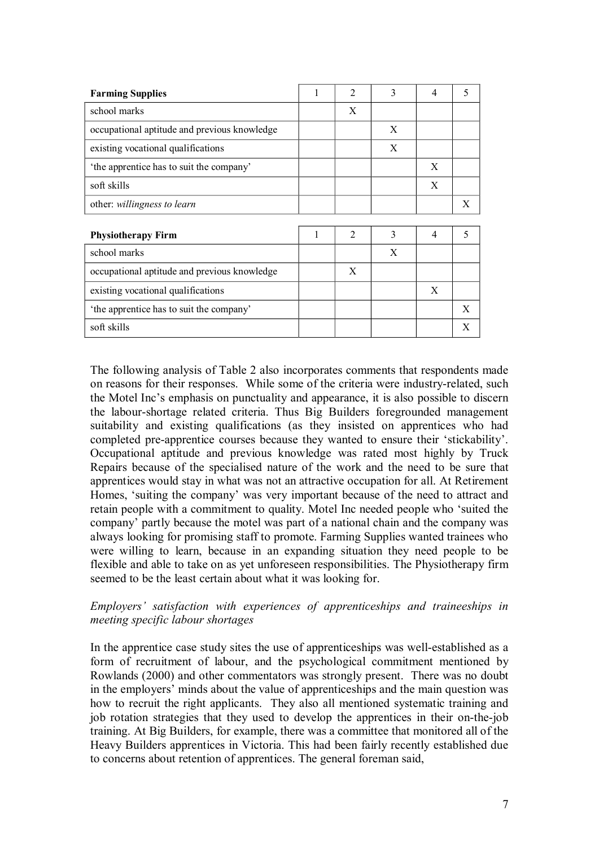| <b>Farming Supplies</b>                      | 1 | $\overline{2}$ | 3 | 4 | 5 |
|----------------------------------------------|---|----------------|---|---|---|
| school marks                                 |   | X              |   |   |   |
| occupational aptitude and previous knowledge |   |                | X |   |   |
| existing vocational qualifications           |   |                | X |   |   |
| the apprentice has to suit the company'      |   |                |   | X |   |
| soft skills                                  |   |                |   | X |   |
| other: willingness to learn                  |   |                |   |   | X |
|                                              |   |                |   |   |   |
| <b>Physiotherapy Firm</b>                    | 1 | $\overline{2}$ | 3 | 4 | 5 |
| school marks                                 |   |                | X |   |   |
| occupational aptitude and previous knowledge |   | X              |   |   |   |
| existing vocational qualifications           |   |                |   | X |   |
| 'the apprentice has to suit the company'     |   |                |   |   | X |
| soft skills                                  |   |                |   |   | X |

The following analysis of Table 2 also incorporates comments that respondents made on reasons for their responses. While some of the criteria were industry-related, such the Motel Inc's emphasis on punctuality and appearance, it is also possible to discern the labour-shortage related criteria. Thus Big Builders foregrounded management suitability and existing qualifications (as they insisted on apprentices who had completed pre-apprentice courses because they wanted to ensure their 'stickability'. Occupational aptitude and previous knowledge was rated most highly by Truck Repairs because of the specialised nature of the work and the need to be sure that apprentices would stay in what was not an attractive occupation for all. At Retirement Homes, 'suiting the company' was very important because of the need to attract and retain people with a commitment to quality. Motel Inc needed people who 'suited the company' partly because the motel was part of a national chain and the company was always looking for promising staff to promote. Farming Supplies wanted trainees who were willing to learn, because in an expanding situation they need people to be flexible and able to take on as yet unforeseen responsibilities. The Physiotherapy firm seemed to be the least certain about what it was looking for.

# *Employers' satisfaction with experiences of apprenticeships and traineeships in meeting specific labour shortages*

In the apprentice case study sites the use of apprenticeships was well-established as a form of recruitment of labour, and the psychological commitment mentioned by Rowlands (2000) and other commentators was strongly present. There was no doubt in the employers' minds about the value of apprenticeships and the main question was how to recruit the right applicants. They also all mentioned systematic training and job rotation strategies that they used to develop the apprentices in their on-the-job training. At Big Builders, for example, there was a committee that monitored all of the Heavy Builders apprentices in Victoria. This had been fairly recently established due to concerns about retention of apprentices. The general foreman said,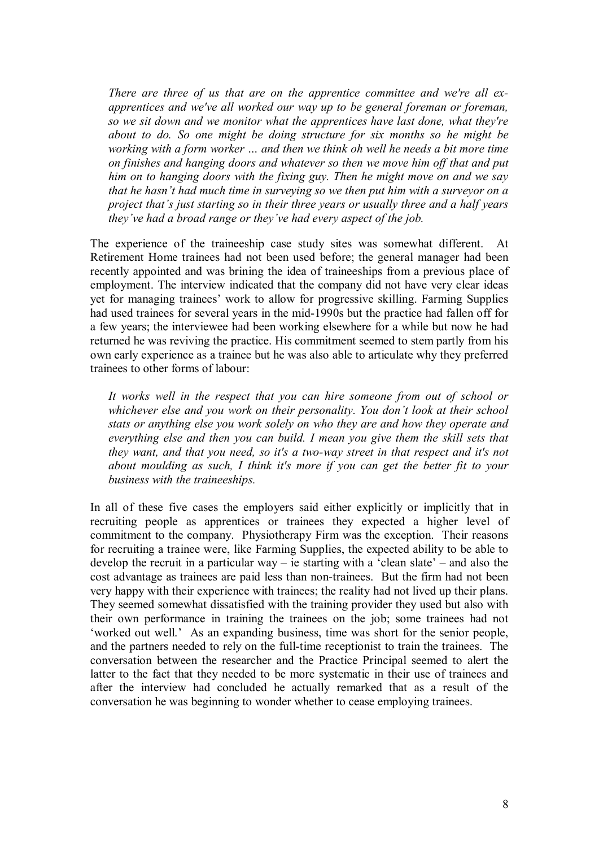*There are three of us that are on the apprentice committee and we're all ex apprentices and we've all worked our way up to be general foreman or foreman, so we sit down and we monitor what the apprentices have last done, what they're about to do. So one might be doing structure for six months so he might be working with a form worker … and then we think oh well he needs a bit more time on finishes and hanging doors and whatever so then we move him off that and put him on to hanging doors with the fixing guy. Then he might move on and we say that he hasn't had much time in surveying so we then put him with a surveyor on a project that's just starting so in their three years or usually three and a half years they've had a broad range or they've had every aspect of the job.*

The experience of the traineeship case study sites was somewhat different. At Retirement Home trainees had not been used before; the general manager had been recently appointed and was brining the idea of traineeships from a previous place of employment. The interview indicated that the company did not have very clear ideas yet for managing trainees' work to allow for progressive skilling. Farming Supplies had used trainees for several years in the mid-1990s but the practice had fallen off for a few years; the interviewee had been working elsewhere for a while but now he had returned he was reviving the practice. His commitment seemed to stem partly from his own early experience as a trainee but he was also able to articulate why they preferred trainees to other forms of labour:

*It works well in the respect that you can hire someone from out of school or whichever else and you work on their personality. You don't look at their school stats or anything else you work solely on who they are and how they operate and everything else and then you can build. I mean you give them the skill sets that they* want, and that you need, so it's a two-way street in that respect and it's not *about moulding as such, I think it's more if you can get the better fit to your business with the traineeships.*

In all of these five cases the employers said either explicitly or implicitly that in recruiting people as apprentices or trainees they expected a higher level of commitment to the company. Physiotherapy Firm was the exception. Their reasons for recruiting a trainee were, like Farming Supplies, the expected ability to be able to develop the recruit in a particular way – ie starting with a 'clean slate' – and also the cost advantage as trainees are paid less than non-trainees. But the firm had not been very happy with their experience with trainees; the reality had not lived up their plans. They seemed somewhat dissatisfied with the training provider they used but also with their own performance in training the trainees on the job; some trainees had not 'worked out well.' As an expanding business, time was short for the senior people, and the partners needed to rely on the full-time receptionist to train the trainees. The conversation between the researcher and the Practice Principal seemed to alert the latter to the fact that they needed to be more systematic in their use of trainees and after the interview had concluded he actually remarked that as a result of the conversation he was beginning to wonder whether to cease employing trainees.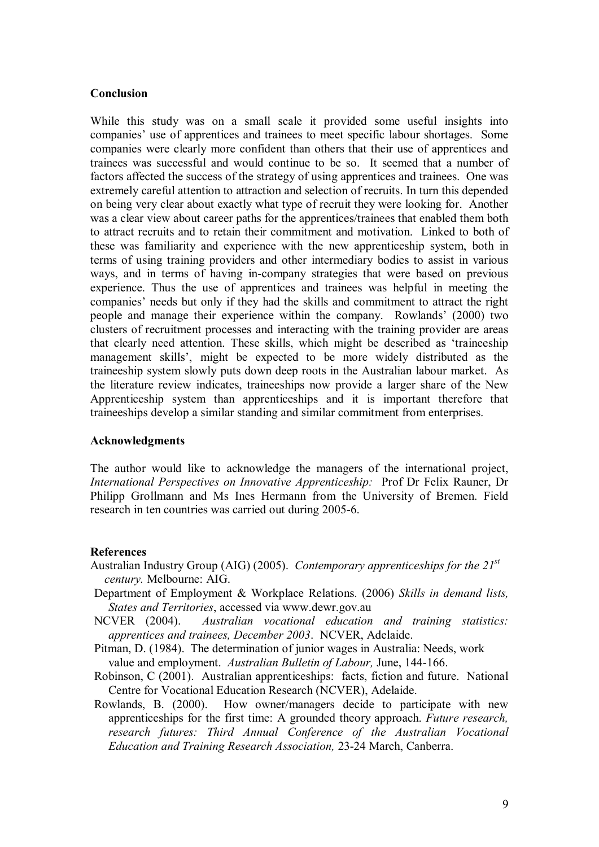#### **Conclusion**

While this study was on a small scale it provided some useful insights into companies' use of apprentices and trainees to meet specific labour shortages. Some companies were clearly more confident than others that their use of apprentices and trainees was successful and would continue to be so. It seemed that a number of factors affected the success of the strategy of using apprentices and trainees. One was extremely careful attention to attraction and selection of recruits. In turn this depended on being very clear about exactly what type of recruit they were looking for. Another was a clear view about career paths for the apprentices/trainees that enabled them both to attract recruits and to retain their commitment and motivation. Linked to both of these was familiarity and experience with the new apprenticeship system, both in terms of using training providers and other intermediary bodies to assist in various ways, and in terms of having in-company strategies that were based on previous experience. Thus the use of apprentices and trainees was helpful in meeting the companies' needs but only if they had the skills and commitment to attract the right people and manage their experience within the company. Rowlands' (2000) two clusters of recruitment processes and interacting with the training provider are areas that clearly need attention. These skills, which might be described as 'traineeship management skills', might be expected to be more widely distributed as the traineeship system slowly puts down deep roots in the Australian labour market. As the literature review indicates, traineeships now provide a larger share of the New Apprenticeship system than apprenticeships and it is important therefore that traineeships develop a similar standing and similar commitment from enterprises.

#### **Acknowledgments**

The author would like to acknowledge the managers of the international project, *International Perspectives on Innovative Apprenticeship:* Prof Dr Felix Rauner, Dr Philipp Grollmann and Ms Ines Hermann from the University of Bremen. Field research in ten countries was carried out during 2005-6.

#### **References**

- Australian Industry Group (AIG) (2005). *Contemporary apprenticeships for the 21<sup>st</sup> century.* Melbourne: AIG.
- Department of Employment & Workplace Relations. (2006) *Skills in demand lists, States and Territories*, accessed via www.dewr.gov.au
- NCVER (2004). *Australian vocational education and training statistics: apprentices and trainees, December 2003*. NCVER, Adelaide.
- Pitman, D. (1984). The determination of junior wages in Australia: Needs, work value and employment. *Australian Bulletin of Labour*, June, 144-166.
- Robinson, C (2001). Australian apprenticeships: facts, fiction and future. National Centre for Vocational Education Research (NCVER), Adelaide.
- Rowlands, B. (2000). How owner/managers decide to participate with new apprenticeships for the first time: A grounded theory approach. *Future research, research futures: Third Annual Conference of the Australian Vocational Education and Training Research Association,* 2324 March, Canberra.